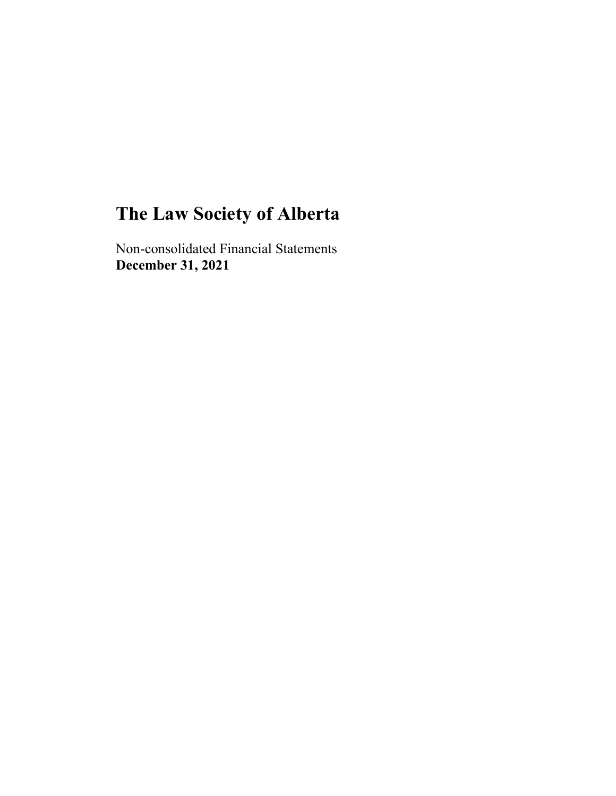Non-consolidated Financial Statements **December 31, 2021**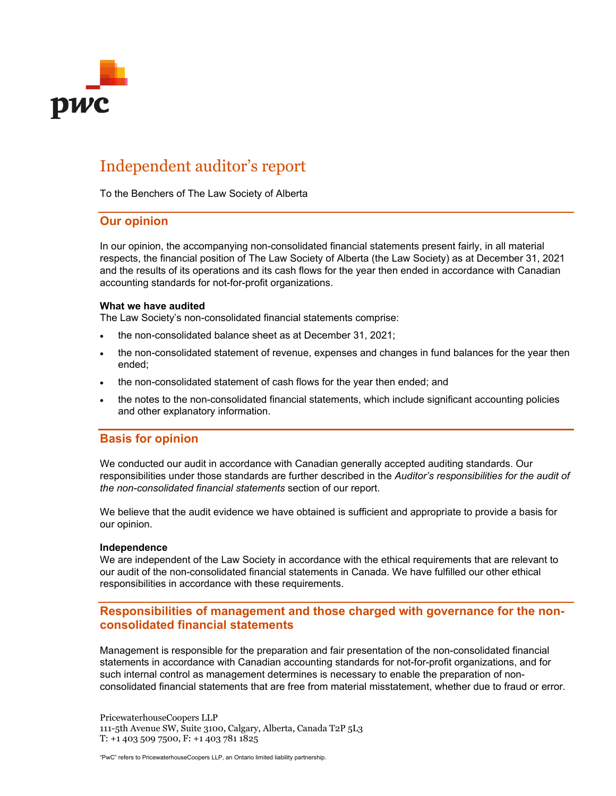

# Independent auditor's report

To the Benchers of The Law Society of Alberta

#### **Our opinion**

In our opinion, the accompanying non-consolidated financial statements present fairly, in all material respects, the financial position of The Law Society of Alberta (the Law Society) as at December 31, 2021 and the results of its operations and its cash flows for the year then ended in accordance with Canadian accounting standards for not-for-profit organizations.

#### **What we have audited**

The Law Society's non-consolidated financial statements comprise:

- the non-consolidated balance sheet as at December 31, 2021;
- the non-consolidated statement of revenue, expenses and changes in fund balances for the year then ended;
- the non-consolidated statement of cash flows for the year then ended; and
- the notes to the non-consolidated financial statements, which include significant accounting policies and other explanatory information.

#### **Basis for opinion**

We conducted our audit in accordance with Canadian generally accepted auditing standards. Our responsibilities under those standards are further described in the *Auditor's responsibilities for the audit of the non-consolidated financial statements* section of our report.

We believe that the audit evidence we have obtained is sufficient and appropriate to provide a basis for our opinion.

#### **Independence**

We are independent of the Law Society in accordance with the ethical requirements that are relevant to our audit of the non-consolidated financial statements in Canada. We have fulfilled our other ethical responsibilities in accordance with these requirements.

#### **Responsibilities of management and those charged with governance for the nonconsolidated financial statements**

Management is responsible for the preparation and fair presentation of the non-consolidated financial statements in accordance with Canadian accounting standards for not-for-profit organizations, and for such internal control as management determines is necessary to enable the preparation of nonconsolidated financial statements that are free from material misstatement, whether due to fraud or error.

PricewaterhouseCoopers LLP 111-5th Avenue SW, Suite 3100, Calgary, Alberta, Canada T2P 5L3 T: +1 403 509 7500, F: +1 403 781 1825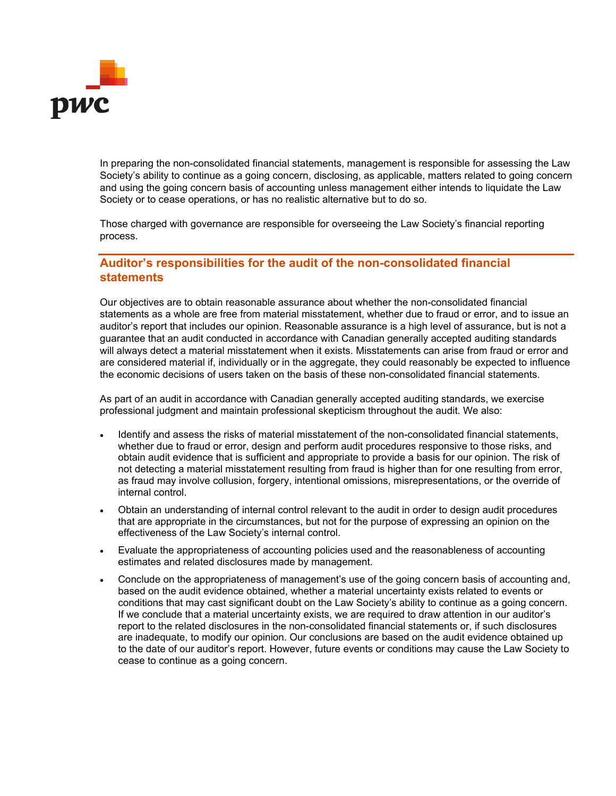

In preparing the non-consolidated financial statements, management is responsible for assessing the Law Society's ability to continue as a going concern, disclosing, as applicable, matters related to going concern and using the going concern basis of accounting unless management either intends to liquidate the Law Society or to cease operations, or has no realistic alternative but to do so.

Those charged with governance are responsible for overseeing the Law Society's financial reporting process.

#### **Auditor's responsibilities for the audit of the non-consolidated financial statements**

Our objectives are to obtain reasonable assurance about whether the non-consolidated financial statements as a whole are free from material misstatement, whether due to fraud or error, and to issue an auditor's report that includes our opinion. Reasonable assurance is a high level of assurance, but is not a guarantee that an audit conducted in accordance with Canadian generally accepted auditing standards will always detect a material misstatement when it exists. Misstatements can arise from fraud or error and are considered material if, individually or in the aggregate, they could reasonably be expected to influence the economic decisions of users taken on the basis of these non-consolidated financial statements.

As part of an audit in accordance with Canadian generally accepted auditing standards, we exercise professional judgment and maintain professional skepticism throughout the audit. We also:

- Identify and assess the risks of material misstatement of the non-consolidated financial statements, whether due to fraud or error, design and perform audit procedures responsive to those risks, and obtain audit evidence that is sufficient and appropriate to provide a basis for our opinion. The risk of not detecting a material misstatement resulting from fraud is higher than for one resulting from error, as fraud may involve collusion, forgery, intentional omissions, misrepresentations, or the override of internal control.
- Obtain an understanding of internal control relevant to the audit in order to design audit procedures that are appropriate in the circumstances, but not for the purpose of expressing an opinion on the effectiveness of the Law Society's internal control.
- Evaluate the appropriateness of accounting policies used and the reasonableness of accounting estimates and related disclosures made by management.
- Conclude on the appropriateness of management's use of the going concern basis of accounting and, based on the audit evidence obtained, whether a material uncertainty exists related to events or conditions that may cast significant doubt on the Law Society's ability to continue as a going concern. If we conclude that a material uncertainty exists, we are required to draw attention in our auditor's report to the related disclosures in the non-consolidated financial statements or, if such disclosures are inadequate, to modify our opinion. Our conclusions are based on the audit evidence obtained up to the date of our auditor's report. However, future events or conditions may cause the Law Society to cease to continue as a going concern.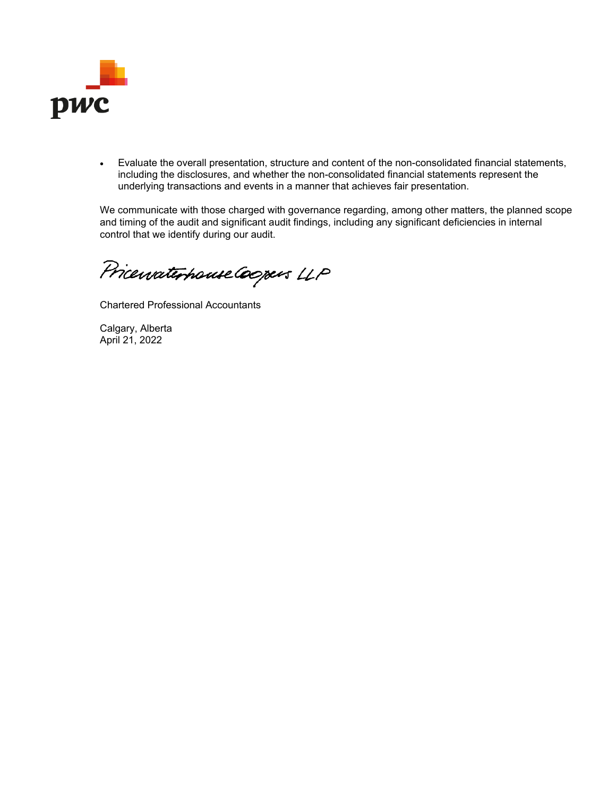

 Evaluate the overall presentation, structure and content of the non-consolidated financial statements, including the disclosures, and whether the non-consolidated financial statements represent the underlying transactions and events in a manner that achieves fair presentation.

We communicate with those charged with governance regarding, among other matters, the planned scope and timing of the audit and significant audit findings, including any significant deficiencies in internal control that we identify during our audit.

Pricewaterhouse Coopers LLP

Chartered Professional Accountants

Calgary, Alberta April 21, 2022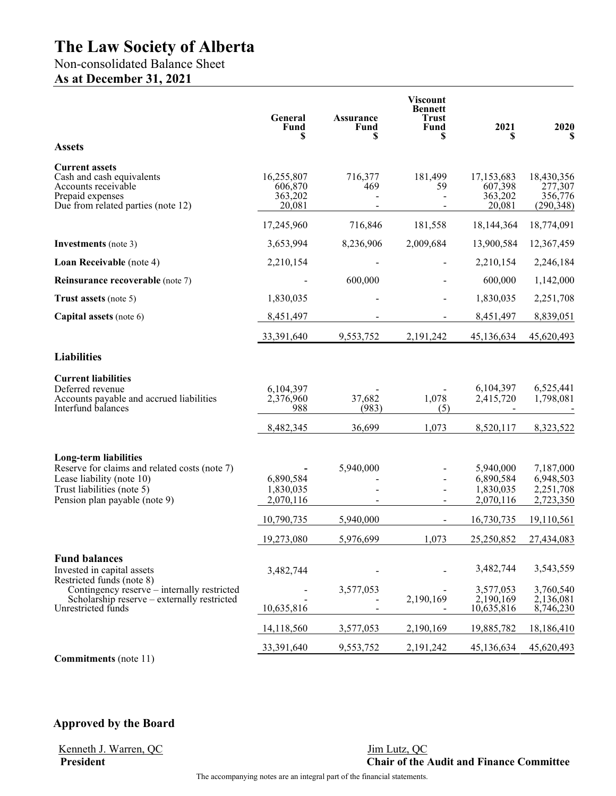### Non-consolidated Balance Sheet

### **As at December 31, 2021**

|                                                                                                                                                                           | General<br>Fund<br>S                       | <b>Assurance</b><br>Fund<br>S | <b>Viscount</b><br><b>Bennett</b><br><b>Trust</b><br>Fund | 2021                                             | 2020                                             |
|---------------------------------------------------------------------------------------------------------------------------------------------------------------------------|--------------------------------------------|-------------------------------|-----------------------------------------------------------|--------------------------------------------------|--------------------------------------------------|
| <b>Assets</b>                                                                                                                                                             |                                            |                               |                                                           |                                                  |                                                  |
| <b>Current assets</b><br>Cash and cash equivalents<br>Accounts receivable<br>Prepaid expenses<br>Due from related parties (note 12)                                       | 16,255,807<br>606,870<br>363,202<br>20,081 | 716,377<br>469                | 181,499<br>59                                             | 17,153,683<br>607,398<br>363,202<br>20,081       | 18,430,356<br>277,307<br>356,776<br>(290, 348)   |
|                                                                                                                                                                           | 17,245,960                                 | 716,846                       | 181,558                                                   | 18,144,364                                       | 18,774,091                                       |
| Investments (note 3)                                                                                                                                                      | 3,653,994                                  | 8,236,906                     | 2,009,684                                                 | 13,900,584                                       | 12,367,459                                       |
| Loan Receivable (note 4)                                                                                                                                                  | 2,210,154                                  |                               |                                                           | 2,210,154                                        | 2,246,184                                        |
| <b>Reinsurance recoverable</b> (note 7)                                                                                                                                   |                                            | 600,000                       |                                                           | 600,000                                          | 1,142,000                                        |
| Trust assets (note 5)                                                                                                                                                     | 1,830,035                                  |                               |                                                           | 1,830,035                                        | 2,251,708                                        |
| Capital assets (note 6)                                                                                                                                                   | 8,451,497                                  |                               |                                                           | 8,451,497                                        | 8,839,051                                        |
|                                                                                                                                                                           | 33,391,640                                 | 9,553,752                     | 2,191,242                                                 | 45,136,634                                       | 45,620,493                                       |
| <b>Liabilities</b>                                                                                                                                                        |                                            |                               |                                                           |                                                  |                                                  |
| <b>Current liabilities</b><br>Deferred revenue<br>Accounts payable and accrued liabilities<br>Interfund balances                                                          | 6,104,397<br>2,376,960<br>988              | 37,682<br>(983)               | 1,078<br>(5)                                              | 6,104,397<br>2,415,720                           | 6,525,441<br>1,798,081                           |
|                                                                                                                                                                           | 8,482,345                                  | 36,699                        | 1,073                                                     | 8,520,117                                        | 8,323,522                                        |
| <b>Long-term liabilities</b><br>Reserve for claims and related costs (note 7)<br>Lease liability (note 10)<br>Trust liabilities (note 5)<br>Pension plan payable (note 9) | 6,890,584<br>1,830,035<br>2,070,116        | 5,940,000                     | $\blacksquare$                                            | 5,940,000<br>6,890,584<br>1,830,035<br>2,070,116 | 7,187,000<br>6,948,503<br>2,251,708<br>2,723,350 |
|                                                                                                                                                                           | 10,790,735                                 | 5,940,000                     |                                                           | 16,730,735                                       | 19,110,561                                       |
|                                                                                                                                                                           | 19,273,080                                 | 5,976,699                     | 1,073                                                     | 25,250,852                                       | 27,434,083                                       |
| <b>Fund balances</b><br>Invested in capital assets<br>Restricted funds (note 8)<br>Contingency reserve – internally restricted                                            | 3,482,744                                  | 3,577,053                     |                                                           | 3,482,744<br>3,577,053                           | 3,543,559<br>3,760,540                           |
| Scholarship reserve – externally restricted<br>Unrestricted funds                                                                                                         | 10,635,816                                 |                               | 2,190,169                                                 | 2,190,169<br>10,635,816                          | 2,136,081<br>8,746,230                           |
|                                                                                                                                                                           | 14,118,560                                 | 3,577,053                     | 2,190,169                                                 | 19,885,782                                       | 18,186,410                                       |
|                                                                                                                                                                           | 33,391,640                                 | 9,553,752                     | 2,191,242                                                 | 45,136,634                                       | 45,620,493                                       |
| <b>Commitments</b> (note 11)                                                                                                                                              |                                            |                               |                                                           |                                                  |                                                  |

### **Approved by the Board**

Kenneth J. Warren, QC Jim Lutz, QC **President Chair of the Audit and Finance Committee**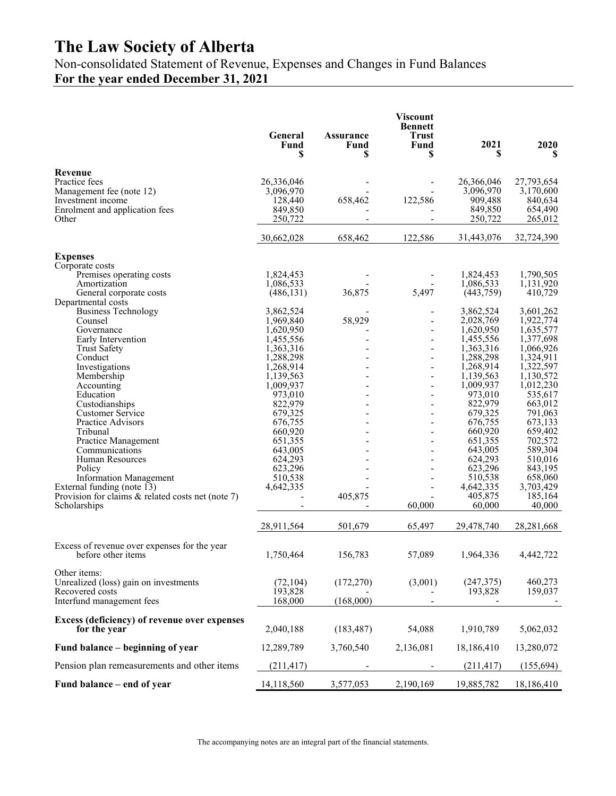Non-consolidated Statement of Revenue, Expenses and Changes in Fund Balances **For the year ended December 31, 2021** 

|                                                                    | General<br>Fund<br>S | <b>Assurance</b><br>Fund<br>S | <b>Viscount</b><br><b>Bennett</b><br>Trust<br>Fund<br>S | 2021<br>S              | 2020<br>\$             |
|--------------------------------------------------------------------|----------------------|-------------------------------|---------------------------------------------------------|------------------------|------------------------|
| Revenue                                                            |                      |                               |                                                         |                        |                        |
| Practice fees                                                      | 26,336,046           |                               |                                                         | 26,366,046             | 27,793,654             |
| Management fee (note 12)                                           | 3,096,970            |                               |                                                         | 3,096,970              | 3,170,600              |
| Investment income                                                  | 128,440              | 658,462                       | 122,586                                                 | 909,488                | 840,634                |
| Enrolment and application fees                                     | 849,850              |                               |                                                         | 849,850                | 654,490                |
| Other                                                              | 250,722              |                               |                                                         | 250,722                | 265,012                |
|                                                                    | 30,662,028           | 658,462                       | 122,586                                                 | 31,443,076             | 32,724,390             |
| <b>Expenses</b>                                                    |                      |                               |                                                         |                        |                        |
| Corporate costs                                                    |                      |                               |                                                         |                        |                        |
| Premises operating costs                                           | 1,824,453            |                               |                                                         | 1,824,453              | 1,790,505              |
| Amortization<br>General corporate costs                            | 1,086,533            | 36,875                        | 5,497                                                   | 1,086,533              | 1,131,920              |
| Departmental costs                                                 | (486, 131)           |                               |                                                         | (443,759)              | 410,729                |
| <b>Business Technology</b>                                         | 3,862,524            |                               |                                                         | 3,862,524              | 3,601,262              |
| Counsel                                                            | 1,969,840            | 58,929                        | $\overline{\phantom{a}}$                                | 2,028,769              | 1,922,774              |
| Governance                                                         | 1,620,950            |                               | $\overline{\phantom{a}}$                                | 1,620,950              | 1,635,577              |
| Early Intervention                                                 | 1,455,556            |                               | $\overline{\phantom{a}}$                                | 1,455,556              | 1.377.698              |
| <b>Trust Safety</b>                                                | 1,363,316            |                               |                                                         | 1,363,316              | 1,066,926              |
| Conduct                                                            | 1,288,298            |                               |                                                         | 1,288,298              | 1,324,911              |
| Investigations                                                     | 1,268,914            |                               |                                                         | 1,268,914              | 1,322,597              |
| Membership                                                         | 1,139,563            |                               |                                                         | 1,139,563<br>1,009,937 | 1,130,572<br>1,012,230 |
| Accounting<br>Education                                            | 1,009,937<br>973,010 |                               |                                                         | 973,010                | 535,617                |
| Custodianships                                                     | 822,979              |                               |                                                         | 822,979                | 663,012                |
| <b>Customer Service</b>                                            | 679,325              |                               |                                                         | 679,325                | 791,063                |
| Practice Advisors                                                  | 676,755              |                               |                                                         | 676,755                | 673,133                |
| Tribunal                                                           | 660,920              |                               |                                                         | 660,920                | 659,402                |
| Practice Management                                                | 651,355              |                               |                                                         | 651,355                | 702,572                |
| Communications                                                     | 643,005              |                               |                                                         | 643,005                | 589,304                |
| Human Resources                                                    | 624,293              |                               |                                                         | 624,293                | 510,016                |
| Policy<br><b>Information Management</b>                            | 623,296              |                               |                                                         | 623,296<br>510,538     | 843,195<br>658,060     |
| External funding (note $1\overline{3}$ )                           | 510,538<br>4,642,335 |                               |                                                         | 4,642,335              | 3,703,429              |
| Provision for claims & related costs net (note 7)                  |                      | 405,875                       |                                                         | 405,875                | 185,164                |
| Scholarships                                                       |                      |                               | 60,000                                                  | 60,000                 | 40,000                 |
|                                                                    | 28,911,564           | 501.679                       | 65,497                                                  | 29,478,740             | 28,281,668             |
|                                                                    |                      |                               |                                                         |                        |                        |
| Excess of revenue over expenses for the year<br>before other items | 1,750,464            | 156,783                       | 57,089                                                  | 1,964,336              | 4,442,722              |
| Other items:                                                       |                      |                               |                                                         |                        |                        |
| Unrealized (loss) gain on investments                              | (72, 104)            | (172, 270)                    | (3,001)                                                 | (247, 375)             | 460,273                |
| Recovered costs                                                    | 193,828<br>168,000   | (168,000)                     |                                                         | 193,828                | 159,037                |
| Interfund management fees                                          |                      |                               |                                                         |                        |                        |
| Excess (deficiency) of revenue over expenses<br>for the year       | 2,040,188            | (183, 487)                    | 54,088                                                  | 1,910,789              | 5,062,032              |
| Fund balance – beginning of year                                   | 12,289,789           | 3,760,540                     | 2,136,081                                               | 18,186,410             | 13,280,072             |
| Pension plan remeasurements and other items                        | (211, 417)           |                               |                                                         | (211, 417)             | (155, 694)             |
| Fund balance – end of year                                         | 14,118,560           | 3,577,053                     | 2,190,169                                               | 19,885,782             | 18,186,410             |

The accompanying notes are an integral part of the financial statements.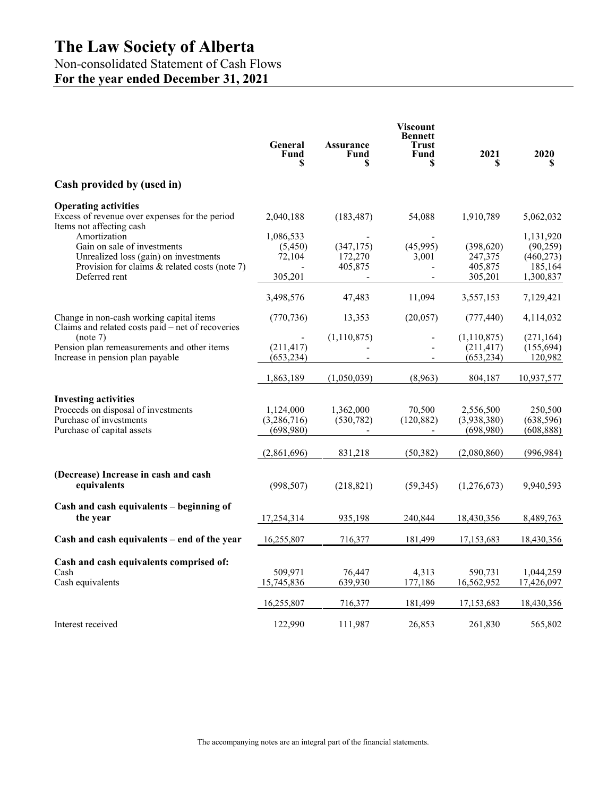# Non-consolidated Statement of Cash Flows

**For the year ended December 31, 2021** 

|                                                                                                                                       | General<br>Fund<br>S                  | <b>Assurance</b><br>Fund<br>\$   | <b>Viscount</b><br><b>Bennett</b><br><b>Trust</b><br>Fund<br>S | 2021<br>S                                 | 2020<br>\$                                     |
|---------------------------------------------------------------------------------------------------------------------------------------|---------------------------------------|----------------------------------|----------------------------------------------------------------|-------------------------------------------|------------------------------------------------|
| Cash provided by (used in)                                                                                                            |                                       |                                  |                                                                |                                           |                                                |
| <b>Operating activities</b><br>Excess of revenue over expenses for the period<br>Items not affecting cash                             | 2,040,188                             | (183, 487)                       | 54,088                                                         | 1,910,789                                 | 5,062,032                                      |
| Amortization<br>Gain on sale of investments<br>Unrealized loss (gain) on investments<br>Provision for claims & related costs (note 7) | 1,086,533<br>(5,450)<br>72,104        | (347, 175)<br>172,270<br>405,875 | (45,995)<br>3,001                                              | (398, 620)<br>247,375<br>405,875          | 1,131,920<br>(90,259)<br>(460, 273)<br>185,164 |
| Deferred rent                                                                                                                         | 305,201                               |                                  |                                                                | 305,201                                   | 1,300,837                                      |
|                                                                                                                                       | 3,498,576                             | 47,483                           | 11,094                                                         | 3,557,153                                 | 7,129,421                                      |
| Change in non-cash working capital items<br>Claims and related costs paid - net of recoveries                                         | (770, 736)                            | 13,353                           | (20,057)                                                       | (777, 440)                                | 4,114,032                                      |
| (note 7)<br>Pension plan remeasurements and other items<br>Increase in pension plan payable                                           | (211, 417)<br>(653, 234)              | (1,110,875)                      |                                                                | (1, 110, 875)<br>(211, 417)<br>(653, 234) | (271, 164)<br>(155, 694)<br>120,982            |
|                                                                                                                                       | 1,863,189                             | (1,050,039)                      | (8,963)                                                        | 804,187                                   | 10,937,577                                     |
| <b>Investing activities</b><br>Proceeds on disposal of investments<br>Purchase of investments<br>Purchase of capital assets           | 1,124,000<br>(3,286,716)<br>(698,980) | 1,362,000<br>(530, 782)          | 70,500<br>(120, 882)                                           | 2,556,500<br>(3,938,380)<br>(698,980)     | 250,500<br>(638, 596)<br>(608, 888)            |
|                                                                                                                                       | (2,861,696)                           | 831,218                          | (50, 382)                                                      | (2,080,860)                               | (996, 984)                                     |
| (Decrease) Increase in cash and cash<br>equivalents                                                                                   | (998, 507)                            | (218, 821)                       | (59, 345)                                                      | (1,276,673)                               | 9,940,593                                      |
| Cash and cash equivalents - beginning of<br>the year                                                                                  | 17,254,314                            | 935,198                          | 240,844                                                        | 18,430,356                                | 8,489,763                                      |
| Cash and cash equivalents - end of the year                                                                                           | 16,255,807                            | 716,377                          | 181,499                                                        | 17, 153, 683                              | 18,430,356                                     |
| Cash and cash equivalents comprised of:<br>Cash<br>Cash equivalents                                                                   | 509,971<br>15,745,836                 | 76,447<br>639,930                | 4,313<br>177,186                                               | 590,731<br>16,562,952                     | 1,044,259<br>17,426,097                        |
|                                                                                                                                       | 16,255,807                            | 716,377                          | 181,499                                                        | 17,153,683                                | 18,430,356                                     |
| Interest received                                                                                                                     | 122,990                               | 111,987                          | 26,853                                                         | 261,830                                   | 565,802                                        |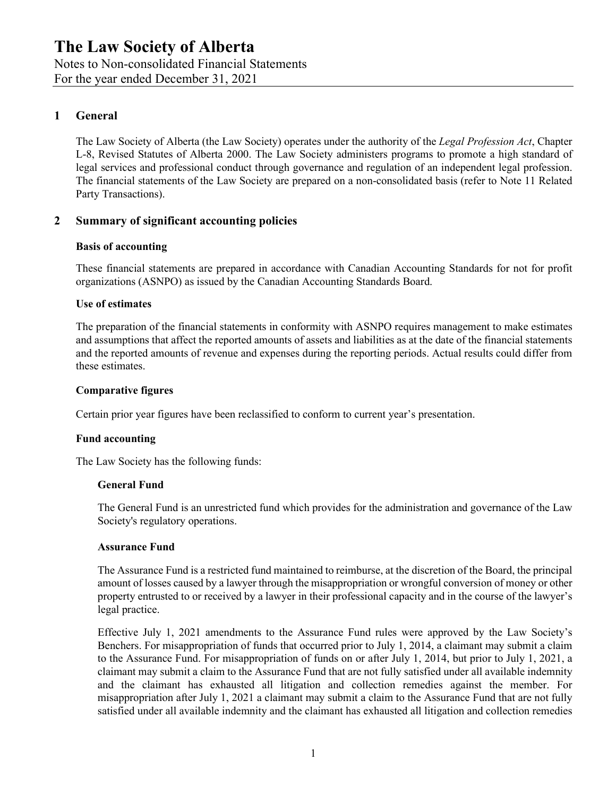Notes to Non-consolidated Financial Statements For the year ended December 31, 2021

### **1 General**

The Law Society of Alberta (the Law Society) operates under the authority of the *Legal Profession Act*, Chapter L-8, Revised Statutes of Alberta 2000. The Law Society administers programs to promote a high standard of legal services and professional conduct through governance and regulation of an independent legal profession. The financial statements of the Law Society are prepared on a non-consolidated basis (refer to Note 11 Related Party Transactions).

#### **2 Summary of significant accounting policies**

#### **Basis of accounting**

These financial statements are prepared in accordance with Canadian Accounting Standards for not for profit organizations (ASNPO) as issued by the Canadian Accounting Standards Board.

#### **Use of estimates**

The preparation of the financial statements in conformity with ASNPO requires management to make estimates and assumptions that affect the reported amounts of assets and liabilities as at the date of the financial statements and the reported amounts of revenue and expenses during the reporting periods. Actual results could differ from these estimates.

#### **Comparative figures**

Certain prior year figures have been reclassified to conform to current year's presentation.

#### **Fund accounting**

The Law Society has the following funds:

#### **General Fund**

The General Fund is an unrestricted fund which provides for the administration and governance of the Law Society's regulatory operations.

#### **Assurance Fund**

The Assurance Fund is a restricted fund maintained to reimburse, at the discretion of the Board, the principal amount of losses caused by a lawyer through the misappropriation or wrongful conversion of money or other property entrusted to or received by a lawyer in their professional capacity and in the course of the lawyer's legal practice.

Effective July 1, 2021 amendments to the Assurance Fund rules were approved by the Law Society's Benchers. For misappropriation of funds that occurred prior to July 1, 2014, a claimant may submit a claim to the Assurance Fund. For misappropriation of funds on or after July 1, 2014, but prior to July 1, 2021, a claimant may submit a claim to the Assurance Fund that are not fully satisfied under all available indemnity and the claimant has exhausted all litigation and collection remedies against the member. For misappropriation after July 1, 2021 a claimant may submit a claim to the Assurance Fund that are not fully satisfied under all available indemnity and the claimant has exhausted all litigation and collection remedies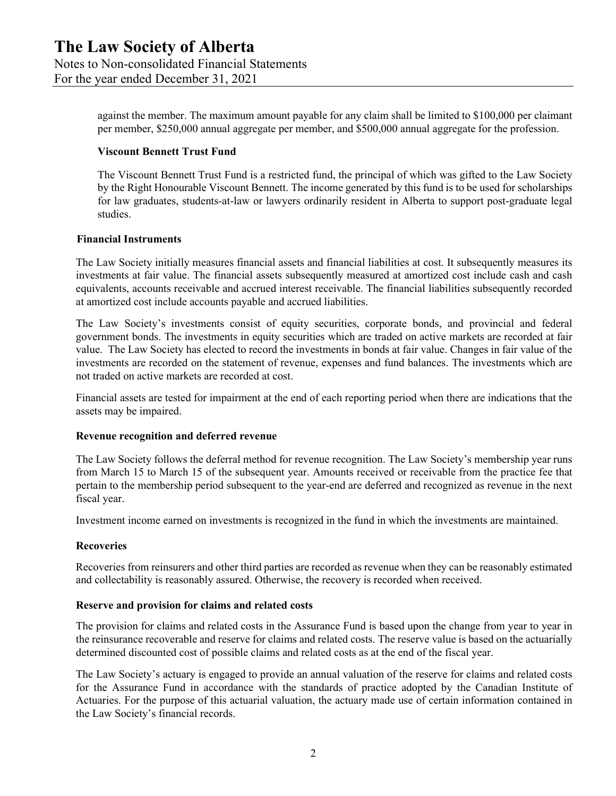against the member. The maximum amount payable for any claim shall be limited to \$100,000 per claimant per member, \$250,000 annual aggregate per member, and \$500,000 annual aggregate for the profession.

#### **Viscount Bennett Trust Fund**

The Viscount Bennett Trust Fund is a restricted fund, the principal of which was gifted to the Law Society by the Right Honourable Viscount Bennett. The income generated by this fund is to be used for scholarships for law graduates, students-at-law or lawyers ordinarily resident in Alberta to support post-graduate legal studies.

#### **Financial Instruments**

The Law Society initially measures financial assets and financial liabilities at cost. It subsequently measures its investments at fair value. The financial assets subsequently measured at amortized cost include cash and cash equivalents, accounts receivable and accrued interest receivable. The financial liabilities subsequently recorded at amortized cost include accounts payable and accrued liabilities.

The Law Society's investments consist of equity securities, corporate bonds, and provincial and federal government bonds. The investments in equity securities which are traded on active markets are recorded at fair value. The Law Society has elected to record the investments in bonds at fair value. Changes in fair value of the investments are recorded on the statement of revenue, expenses and fund balances. The investments which are not traded on active markets are recorded at cost.

Financial assets are tested for impairment at the end of each reporting period when there are indications that the assets may be impaired.

#### **Revenue recognition and deferred revenue**

The Law Society follows the deferral method for revenue recognition. The Law Society's membership year runs from March 15 to March 15 of the subsequent year. Amounts received or receivable from the practice fee that pertain to the membership period subsequent to the year-end are deferred and recognized as revenue in the next fiscal year.

Investment income earned on investments is recognized in the fund in which the investments are maintained.

#### **Recoveries**

Recoveries from reinsurers and other third parties are recorded as revenue when they can be reasonably estimated and collectability is reasonably assured. Otherwise, the recovery is recorded when received.

#### **Reserve and provision for claims and related costs**

The provision for claims and related costs in the Assurance Fund is based upon the change from year to year in the reinsurance recoverable and reserve for claims and related costs. The reserve value is based on the actuarially determined discounted cost of possible claims and related costs as at the end of the fiscal year.

The Law Society's actuary is engaged to provide an annual valuation of the reserve for claims and related costs for the Assurance Fund in accordance with the standards of practice adopted by the Canadian Institute of Actuaries. For the purpose of this actuarial valuation, the actuary made use of certain information contained in the Law Society's financial records.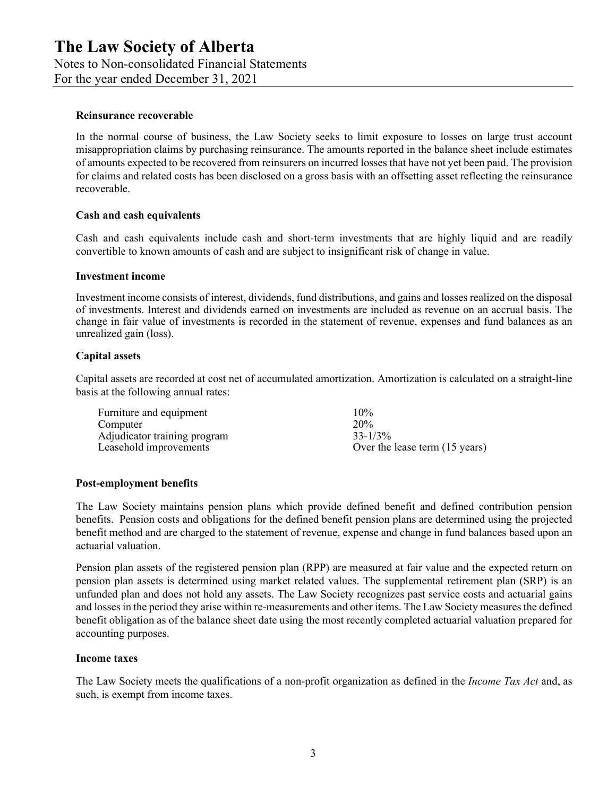Notes to Non-consolidated Financial Statements

For the year ended December 31, 2021

#### **Reinsurance recoverable**

In the normal course of business, the Law Society seeks to limit exposure to losses on large trust account misappropriation claims by purchasing reinsurance. The amounts reported in the balance sheet include estimates of amounts expected to be recovered from reinsurers on incurred losses that have not yet been paid. The provision for claims and related costs has been disclosed on a gross basis with an offsetting asset reflecting the reinsurance recoverable.

#### **Cash and cash equivalents**

Cash and cash equivalents include cash and short-term investments that are highly liquid and are readily convertible to known amounts of cash and are subject to insignificant risk of change in value.

#### **Investment income**

Investment income consists of interest, dividends, fund distributions, and gains and losses realized on the disposal of investments. Interest and dividends earned on investments are included as revenue on an accrual basis. The change in fair value of investments is recorded in the statement of revenue, expenses and fund balances as an unrealized gain (loss).

#### **Capital assets**

Capital assets are recorded at cost net of accumulated amortization. Amortization is calculated on a straight-line basis at the following annual rates:

| Furniture and equipment      | $10\%$                         |
|------------------------------|--------------------------------|
| Computer                     | 20%                            |
| Adjudicator training program | $33 - 1/3\%$                   |
| Leasehold improvements       | Over the lease term (15 years) |

#### **Post-employment benefits**

The Law Society maintains pension plans which provide defined benefit and defined contribution pension benefits. Pension costs and obligations for the defined benefit pension plans are determined using the projected benefit method and are charged to the statement of revenue, expense and change in fund balances based upon an actuarial valuation.

Pension plan assets of the registered pension plan (RPP) are measured at fair value and the expected return on pension plan assets is determined using market related values. The supplemental retirement plan (SRP) is an unfunded plan and does not hold any assets. The Law Society recognizes past service costs and actuarial gains and losses in the period they arise within re-measurements and other items. The Law Society measures the defined benefit obligation as of the balance sheet date using the most recently completed actuarial valuation prepared for accounting purposes.

#### **Income taxes**

The Law Society meets the qualifications of a non-profit organization as defined in the *Income Tax Act* and, as such, is exempt from income taxes.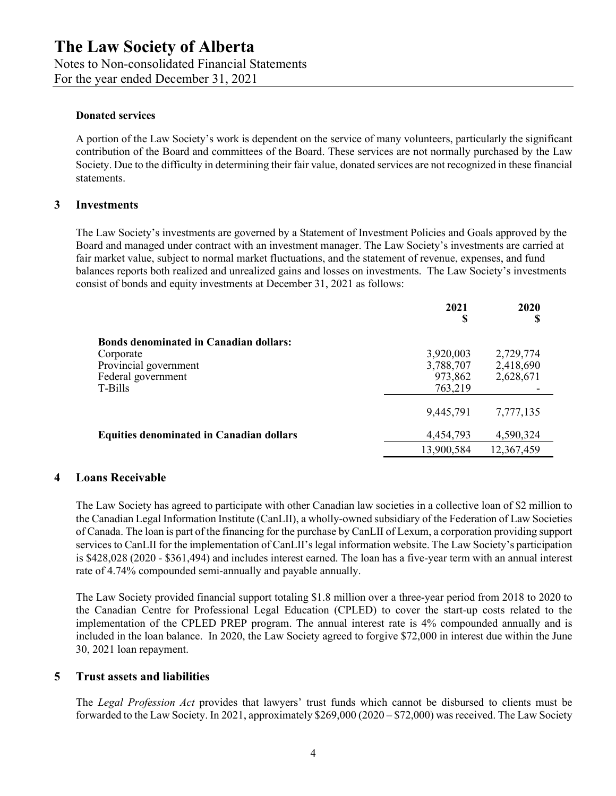Notes to Non-consolidated Financial Statements

For the year ended December 31, 2021

#### **Donated services**

A portion of the Law Society's work is dependent on the service of many volunteers, particularly the significant contribution of the Board and committees of the Board. These services are not normally purchased by the Law Society. Due to the difficulty in determining their fair value, donated services are not recognized in these financial statements.

#### **3 Investments**

The Law Society's investments are governed by a Statement of Investment Policies and Goals approved by the Board and managed under contract with an investment manager. The Law Society's investments are carried at fair market value, subject to normal market fluctuations, and the statement of revenue, expenses, and fund balances reports both realized and unrealized gains and losses on investments. The Law Society's investments consist of bonds and equity investments at December 31, 2021 as follows:

|                                                 | 2021<br>S  | 2020<br>S  |
|-------------------------------------------------|------------|------------|
| <b>Bonds denominated in Canadian dollars:</b>   |            |            |
| Corporate                                       | 3,920,003  | 2,729,774  |
| Provincial government                           | 3,788,707  | 2,418,690  |
| Federal government                              | 973,862    | 2,628,671  |
| T-Bills                                         | 763,219    |            |
|                                                 | 9,445,791  | 7,777,135  |
| <b>Equities denominated in Canadian dollars</b> | 4,454,793  | 4,590,324  |
|                                                 | 13,900,584 | 12,367,459 |

#### **4 Loans Receivable**

The Law Society has agreed to participate with other Canadian law societies in a collective loan of \$2 million to the Canadian Legal Information Institute (CanLII), a wholly-owned subsidiary of the Federation of Law Societies of Canada. The loan is part of the financing for the purchase by CanLII of Lexum, a corporation providing support services to CanLII for the implementation of CanLII's legal information website. The Law Society's participation is \$428,028 (2020 - \$361,494) and includes interest earned. The loan has a five-year term with an annual interest rate of 4.74% compounded semi-annually and payable annually.

The Law Society provided financial support totaling \$1.8 million over a three-year period from 2018 to 2020 to the Canadian Centre for Professional Legal Education (CPLED) to cover the start-up costs related to the implementation of the CPLED PREP program. The annual interest rate is 4% compounded annually and is included in the loan balance. In 2020, the Law Society agreed to forgive \$72,000 in interest due within the June 30, 2021 loan repayment.

#### **5 Trust assets and liabilities**

The *Legal Profession Act* provides that lawyers' trust funds which cannot be disbursed to clients must be forwarded to the Law Society. In 2021, approximately \$269,000 (2020 – \$72,000) was received. The Law Society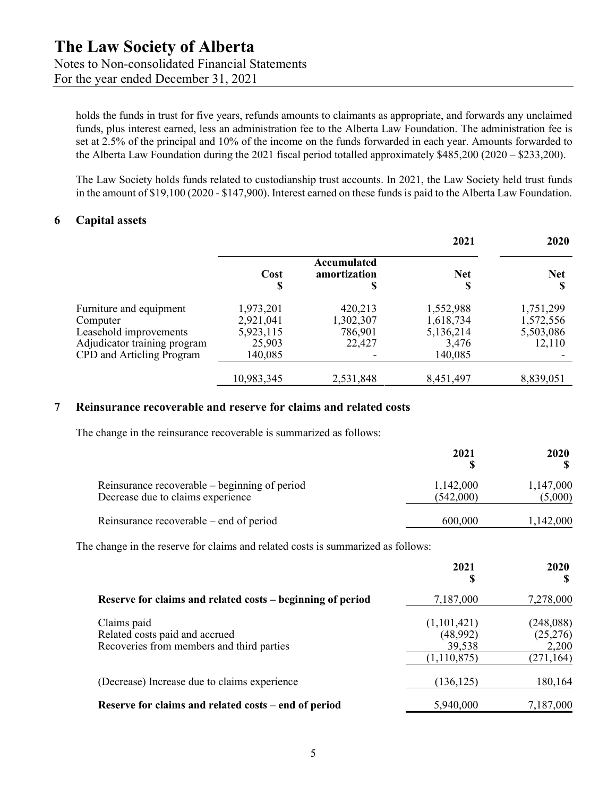holds the funds in trust for five years, refunds amounts to claimants as appropriate, and forwards any unclaimed funds, plus interest earned, less an administration fee to the Alberta Law Foundation. The administration fee is set at 2.5% of the principal and 10% of the income on the funds forwarded in each year. Amounts forwarded to the Alberta Law Foundation during the 2021 fiscal period totalled approximately \$485,200 (2020 – \$233,200).

The Law Society holds funds related to custodianship trust accounts. In 2021, the Law Society held trust funds in the amount of \$19,100 (2020 - \$147,900). Interest earned on these funds is paid to the Alberta Law Foundation.

#### **6 Capital assets**

|                                  |            |                                  | 2021            | 2020       |
|----------------------------------|------------|----------------------------------|-----------------|------------|
|                                  | Cost<br>\$ | Accumulated<br>amortization<br>S | <b>Net</b><br>D | <b>Net</b> |
| Furniture and equipment          | 1,973,201  | 420,213                          | 1,552,988       | 1,751,299  |
| Computer                         | 2,921,041  | 1,302,307                        | 1,618,734       | 1,572,556  |
| Leasehold improvements           | 5,923,115  | 786,901                          | 5,136,214       | 5,503,086  |
| Adjudicator training program     | 25,903     | 22,427                           | 3,476           | 12,110     |
| <b>CPD and Articling Program</b> | 140,085    |                                  | 140,085         |            |
|                                  | 10,983,345 | 2,531,848                        | 8,451,497       | 8,839,051  |

#### **7 Reinsurance recoverable and reserve for claims and related costs**

The change in the reinsurance recoverable is summarized as follows:

|                                                                                    | 2021                   | 2020                 |
|------------------------------------------------------------------------------------|------------------------|----------------------|
| Reinsurance recoverable – beginning of period<br>Decrease due to claims experience | 1,142,000<br>(542,000) | 1,147,000<br>(5,000) |
| Reinsurance recoverable – end of period                                            | 600,000                | 1,142,000            |

The change in the reserve for claims and related costs is summarized as follows:

|                                                                                            | 2021<br>S                                          | 2020                                          |
|--------------------------------------------------------------------------------------------|----------------------------------------------------|-----------------------------------------------|
| Reserve for claims and related costs – beginning of period                                 | 7,187,000                                          | 7,278,000                                     |
| Claims paid<br>Related costs paid and accrued<br>Recoveries from members and third parties | (1,101,421)<br>(48,992)<br>39,538<br>(1, 110, 875) | (248,088)<br>(25, 276)<br>2,200<br>(271, 164) |
| (Decrease) Increase due to claims experience                                               | (136, 125)                                         | 180,164                                       |
| Reserve for claims and related costs – end of period                                       | 5,940,000                                          | 7,187,000                                     |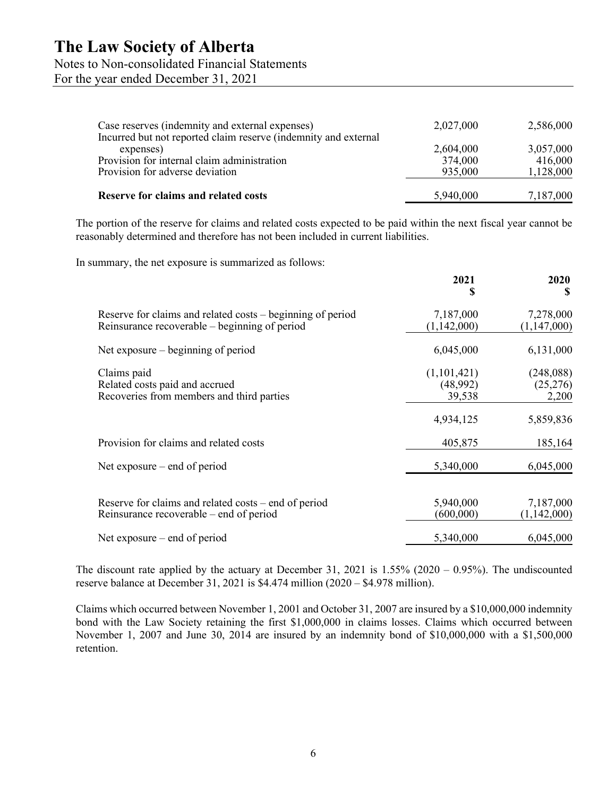#### Notes to Non-consolidated Financial Statements

For the year ended December 31, 2021

| Case reserves (indemnity and external expenses)<br>Incurred but not reported claim reserve (indemnity and external | 2,027,000 | 2,586,000 |
|--------------------------------------------------------------------------------------------------------------------|-----------|-----------|
| expenses)                                                                                                          | 2,604,000 | 3,057,000 |
| Provision for internal claim administration                                                                        | 374,000   | 416,000   |
| Provision for adverse deviation                                                                                    | 935,000   | 1,128,000 |
| Reserve for claims and related costs                                                                               | 5,940,000 | 7,187,000 |

The portion of the reserve for claims and related costs expected to be paid within the next fiscal year cannot be reasonably determined and therefore has not been included in current liabilities.

In summary, the net exposure is summarized as follows:

|                                                                                                             | 2021<br>S                         | 2020<br>S                      |
|-------------------------------------------------------------------------------------------------------------|-----------------------------------|--------------------------------|
| Reserve for claims and related costs – beginning of period<br>Reinsurance recoverable – beginning of period | 7,187,000<br>(1,142,000)          | 7,278,000<br>(1,147,000)       |
| Net exposure $-$ beginning of period                                                                        | 6,045,000                         | 6,131,000                      |
| Claims paid<br>Related costs paid and accrued<br>Recoveries from members and third parties                  | (1,101,421)<br>(48,992)<br>39,538 | (248,088)<br>(25,276)<br>2,200 |
|                                                                                                             | 4,934,125                         | 5,859,836                      |
| Provision for claims and related costs                                                                      | 405,875                           | 185,164                        |
| Net exposure $-$ end of period                                                                              | 5,340,000                         | 6,045,000                      |
| Reserve for claims and related costs – end of period<br>Reinsurance recoverable – end of period             | 5,940,000<br>(600,000)            | 7,187,000<br>(1,142,000)       |
| Net exposure $-$ end of period                                                                              | 5,340,000                         | 6,045,000                      |

The discount rate applied by the actuary at December 31, 2021 is  $1.55\%$  (2020 – 0.95%). The undiscounted reserve balance at December 31, 2021 is \$4.474 million (2020 – \$4.978 million).

Claims which occurred between November 1, 2001 and October 31, 2007 are insured by a \$10,000,000 indemnity bond with the Law Society retaining the first \$1,000,000 in claims losses. Claims which occurred between November 1, 2007 and June 30, 2014 are insured by an indemnity bond of \$10,000,000 with a \$1,500,000 retention.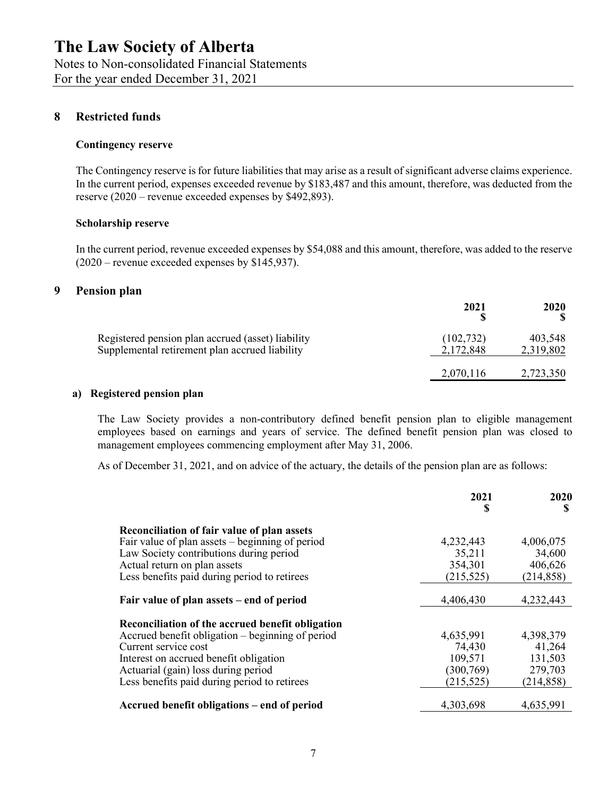Notes to Non-consolidated Financial Statements For the year ended December 31, 2021

#### **8 Restricted funds**

#### **Contingency reserve**

The Contingency reserve is for future liabilities that may arise as a result of significant adverse claims experience. In the current period, expenses exceeded revenue by \$183,487 and this amount, therefore, was deducted from the reserve (2020 – revenue exceeded expenses by \$492,893).

#### **Scholarship reserve**

In the current period, revenue exceeded expenses by \$54,088 and this amount, therefore, was added to the reserve (2020 – revenue exceeded expenses by \$145,937).

#### **9 Pension plan**

|                                                                                                     | 2021                    | <b>2020</b>          |
|-----------------------------------------------------------------------------------------------------|-------------------------|----------------------|
| Registered pension plan accrued (asset) liability<br>Supplemental retirement plan accrued liability | (102, 732)<br>2,172,848 | 403,548<br>2,319,802 |
|                                                                                                     | 2,070,116               | 2,723,350            |

#### **a) Registered pension plan**

The Law Society provides a non-contributory defined benefit pension plan to eligible management employees based on earnings and years of service. The defined benefit pension plan was closed to management employees commencing employment after May 31, 2006.

As of December 31, 2021, and on advice of the actuary, the details of the pension plan are as follows:

|                                                  | 2021<br>S  | 2020<br>\$. |
|--------------------------------------------------|------------|-------------|
| Reconciliation of fair value of plan assets      |            |             |
| Fair value of plan assets – beginning of period  | 4,232,443  | 4,006,075   |
| Law Society contributions during period          | 35,211     | 34,600      |
| Actual return on plan assets                     | 354,301    | 406,626     |
| Less benefits paid during period to retirees     | (215, 525) | (214, 858)  |
| Fair value of plan assets – end of period        | 4,406,430  | 4,232,443   |
| Reconciliation of the accrued benefit obligation |            |             |
| Accrued benefit obligation – beginning of period | 4,635,991  | 4,398,379   |
| Current service cost                             | 74,430     | 41,264      |
| Interest on accrued benefit obligation           | 109,571    | 131,503     |
| Actuarial (gain) loss during period              | (300, 769) | 279,703     |
| Less benefits paid during period to retirees     | (215, 525) | (214, 858)  |
| Accrued benefit obligations – end of period      | 4,303,698  | 4,635,991   |
|                                                  |            |             |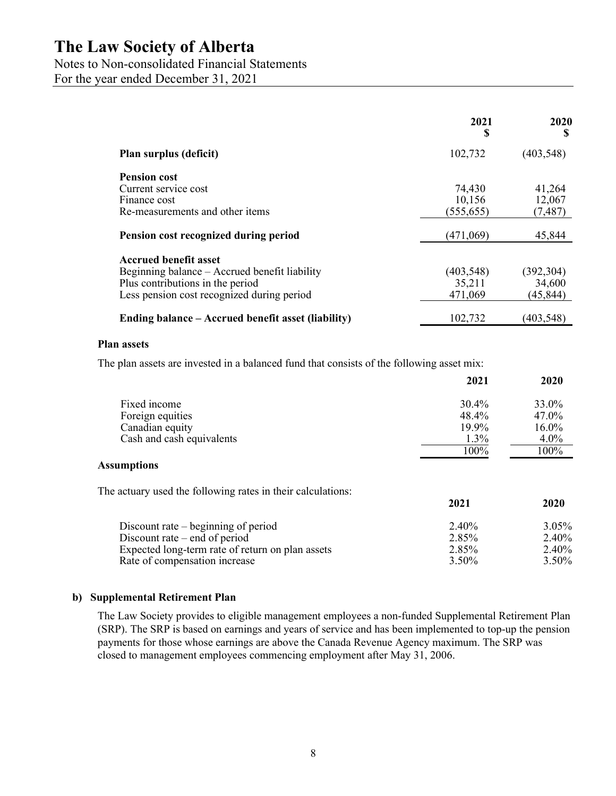Notes to Non-consolidated Financial Statements For the year ended December 31, 2021

|                                                    | 2021<br>S  | 2020<br>-SS |
|----------------------------------------------------|------------|-------------|
| Plan surplus (deficit)                             | 102,732    | (403, 548)  |
| <b>Pension cost</b>                                |            |             |
| Current service cost                               | 74,430     | 41,264      |
| Finance cost                                       | 10,156     | 12,067      |
| Re-measurements and other items                    | (555, 655) | (7, 487)    |
| Pension cost recognized during period              | (471,069)  | 45,844      |
| <b>Accrued benefit asset</b>                       |            |             |
| Beginning balance – Accrued benefit liability      | (403, 548) | (392, 304)  |
| Plus contributions in the period                   | 35,211     | 34,600      |
| Less pension cost recognized during period         | 471,069    | (45,844)    |
| Ending balance – Accrued benefit asset (liability) | 102,732    | (403,548)   |

#### **Plan assets**

The plan assets are invested in a balanced fund that consists of the following asset mix:

|                                                             | 2021     | 2020     |
|-------------------------------------------------------------|----------|----------|
| Fixed income                                                | $30.4\%$ | 33.0%    |
| Foreign equities                                            | 48.4%    | 47.0%    |
| Canadian equity                                             | 19.9%    | $16.0\%$ |
| Cash and cash equivalents                                   | $1.3\%$  | $4.0\%$  |
|                                                             | 100%     | 100%     |
| <b>Assumptions</b>                                          |          |          |
| The actuary used the following rates in their calculations: |          |          |
|                                                             | 2021     | 2020     |
| Discount rate $-$ beginning of period                       | 2.40%    | 3.05%    |
| Discount rate $-$ end of period                             | 2.85%    | 2.40%    |
| Expected long-term rate of return on plan assets            | 2.85%    | 2.40%    |
| Rate of compensation increase                               | $3.50\%$ | $3.50\%$ |

#### **b) Supplemental Retirement Plan**

The Law Society provides to eligible management employees a non-funded Supplemental Retirement Plan (SRP). The SRP is based on earnings and years of service and has been implemented to top-up the pension payments for those whose earnings are above the Canada Revenue Agency maximum. The SRP was closed to management employees commencing employment after May 31, 2006.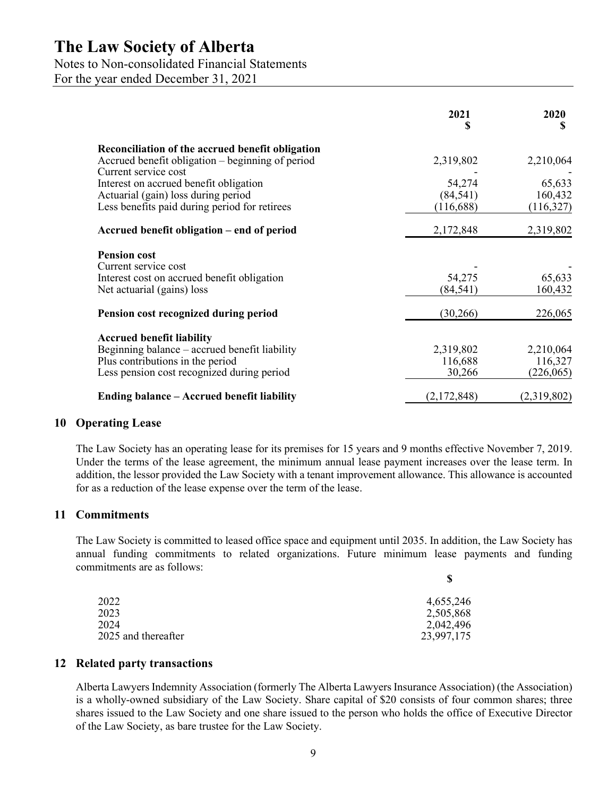#### Notes to Non-consolidated Financial Statements

For the year ended December 31, 2021

|                                                                                                                                                                     | 2021<br>S                         | 2020                               |
|---------------------------------------------------------------------------------------------------------------------------------------------------------------------|-----------------------------------|------------------------------------|
| Reconciliation of the accrued benefit obligation<br>Accrued benefit obligation - beginning of period<br>Current service cost                                        | 2,319,802                         | 2,210,064                          |
| Interest on accrued benefit obligation<br>Actuarial (gain) loss during period<br>Less benefits paid during period for retirees                                      | 54,274<br>(84, 541)<br>(116, 688) | 65,633<br>160,432<br>(116,327)     |
| Accrued benefit obligation – end of period                                                                                                                          | 2,172,848                         | 2,319,802                          |
| <b>Pension cost</b><br>Current service cost<br>Interest cost on accrued benefit obligation<br>Net actuarial (gains) loss                                            | 54,275<br>(84, 541)               | 65,633<br>160,432                  |
| Pension cost recognized during period                                                                                                                               | (30, 266)                         | 226,065                            |
| <b>Accrued benefit liability</b><br>Beginning balance – accrued benefit liability<br>Plus contributions in the period<br>Less pension cost recognized during period | 2,319,802<br>116,688<br>30,266    | 2,210,064<br>116,327<br>(226, 065) |
| Ending balance – Accrued benefit liability                                                                                                                          | (2,172,848)                       | (2,319,802)                        |

#### **10 Operating Lease**

The Law Society has an operating lease for its premises for 15 years and 9 months effective November 7, 2019. Under the terms of the lease agreement, the minimum annual lease payment increases over the lease term. In addition, the lessor provided the Law Society with a tenant improvement allowance. This allowance is accounted for as a reduction of the lease expense over the term of the lease.

#### **11 Commitments**

The Law Society is committed to leased office space and equipment until 2035. In addition, the Law Society has annual funding commitments to related organizations. Future minimum lease payments and funding commitments are as follows:

**\$**

| 2022                | 4,655,246  |
|---------------------|------------|
| 2023                | 2,505,868  |
| 2024                | 2,042,496  |
| 2025 and thereafter | 23,997,175 |

#### **12 Related party transactions**

Alberta Lawyers Indemnity Association (formerly The Alberta Lawyers Insurance Association) (the Association) is a wholly-owned subsidiary of the Law Society. Share capital of \$20 consists of four common shares; three shares issued to the Law Society and one share issued to the person who holds the office of Executive Director of the Law Society, as bare trustee for the Law Society.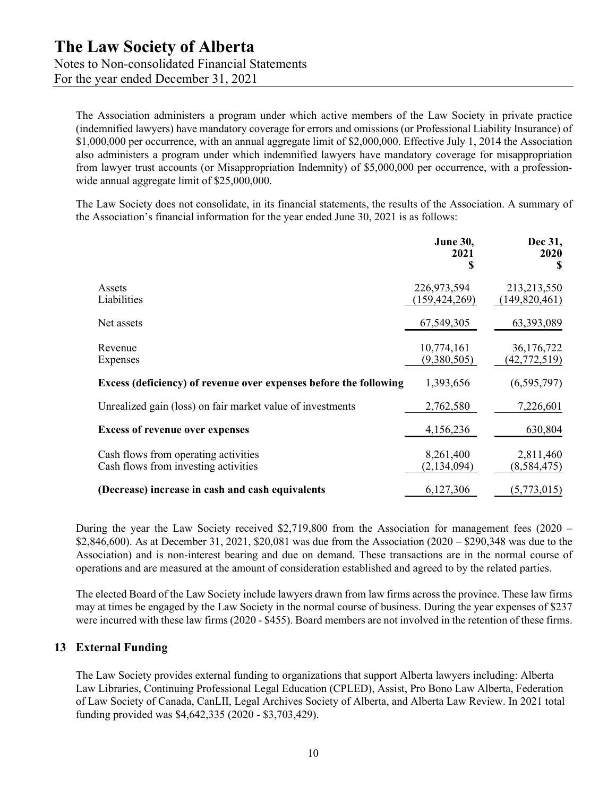The Association administers a program under which active members of the Law Society in private practice (indemnified lawyers) have mandatory coverage for errors and omissions (or Professional Liability Insurance) of \$1,000,000 per occurrence, with an annual aggregate limit of \$2,000,000. Effective July 1, 2014 the Association also administers a program under which indemnified lawyers have mandatory coverage for misappropriation from lawyer trust accounts (or Misappropriation Indemnity) of \$5,000,000 per occurrence, with a professionwide annual aggregate limit of \$25,000,000.

The Law Society does not consolidate, in its financial statements, the results of the Association. A summary of the Association's financial information for the year ended June 30, 2021 is as follows:

|                                                                              | <b>June 30,</b><br>2021        | Dec 31,<br>2020<br><b>S</b>  |
|------------------------------------------------------------------------------|--------------------------------|------------------------------|
| Assets<br>Liabilities                                                        | 226,973,594<br>(159, 424, 269) | 213,213,550<br>(149,820,461) |
| Net assets                                                                   | 67,549,305                     | 63,393,089                   |
| Revenue<br>Expenses                                                          | 10,774,161<br>(9,380,505)      | 36,176,722<br>(42, 772, 519) |
| Excess (deficiency) of revenue over expenses before the following            | 1,393,656                      | (6,595,797)                  |
| Unrealized gain (loss) on fair market value of investments                   | 2,762,580                      | 7,226,601                    |
| <b>Excess of revenue over expenses</b>                                       | 4,156,236                      | 630,804                      |
| Cash flows from operating activities<br>Cash flows from investing activities | 8,261,400<br>(2, 134, 094)     | 2,811,460<br>(8,584,475)     |
| (Decrease) increase in cash and cash equivalents                             | 6,127,306                      | (5,773,015)                  |

During the year the Law Society received \$2,719,800 from the Association for management fees (2020 – \$2,846,600). As at December 31, 2021, \$20,081 was due from the Association (2020 – \$290,348 was due to the Association) and is non-interest bearing and due on demand. These transactions are in the normal course of operations and are measured at the amount of consideration established and agreed to by the related parties.

The elected Board of the Law Society include lawyers drawn from law firms across the province. These law firms may at times be engaged by the Law Society in the normal course of business. During the year expenses of \$237 were incurred with these law firms (2020 - \$455). Board members are not involved in the retention of these firms.

#### **13 External Funding**

The Law Society provides external funding to organizations that support Alberta lawyers including: Alberta Law Libraries, Continuing Professional Legal Education (CPLED), Assist, Pro Bono Law Alberta, Federation of Law Society of Canada, CanLII, Legal Archives Society of Alberta, and Alberta Law Review. In 2021 total funding provided was \$4,642,335 (2020 - \$3,703,429).